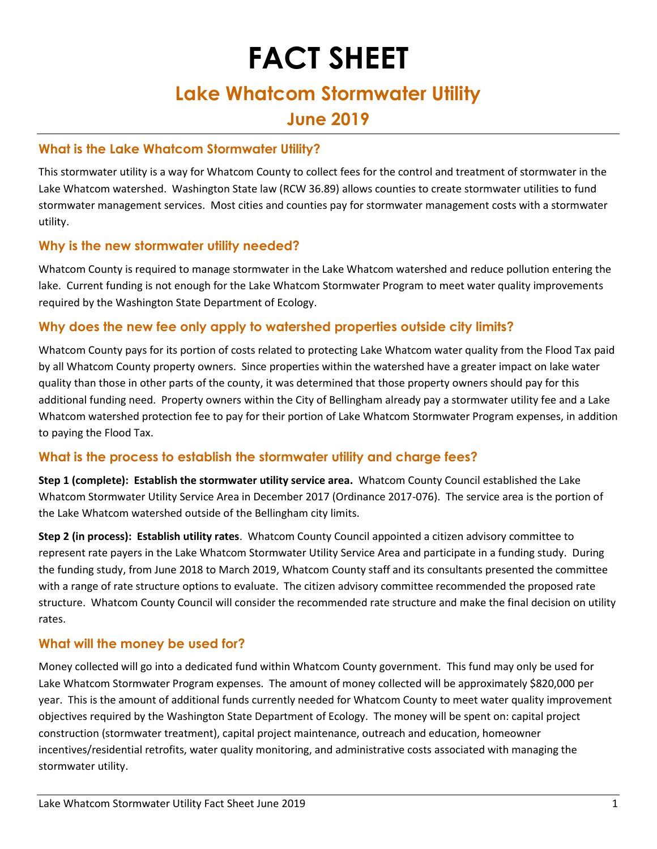# **FACT SHEET**

## **Lake Whatcom Stormwater Utility**

### **June 2019**

#### **What is the Lake Whatcom Stormwater Utility?**

This stormwater utility is a way for Whatcom County to collect fees for the control and treatment of stormwater in the Lake Whatcom watershed. Washington State law (RCW 36.89) allows counties to create stormwater utilities to fund stormwater management services. Most cities and counties pay for stormwater management costs with a stormwater utility.

#### **Why is the new stormwater utility needed?**

Whatcom County is required to manage stormwater in the Lake Whatcom watershed and reduce pollution entering the lake. Current funding is not enough for the Lake Whatcom Stormwater Program to meet water quality improvements required by the Washington State Department of Ecology.

#### **Why does the new fee only apply to watershed properties outside city limits?**

Whatcom County pays for its portion of costs related to protecting Lake Whatcom water quality from the Flood Tax paid by all Whatcom County property owners. Since properties within the watershed have a greater impact on lake water quality than those in other parts of the county, it was determined that those property owners should pay for this additional funding need. Property owners within the City of Bellingham already pay a stormwater utility fee and a Lake Whatcom watershed protection fee to pay for their portion of Lake Whatcom Stormwater Program expenses, in addition to paying the Flood Tax.

#### **What is the process to establish the stormwater utility and charge fees?**

**Step 1 (complete): Establish the stormwater utility service area.** Whatcom County Council established the Lake Whatcom Stormwater Utility Service Area in December 2017 (Ordinance 2017-076). The service area is the portion of the Lake Whatcom watershed outside of the Bellingham city limits.

**Step 2 (in process): Establish utility rates**. Whatcom County Council appointed a citizen advisory committee to represent rate payers in the Lake Whatcom Stormwater Utility Service Area and participate in a funding study. During the funding study, from June 2018 to March 2019, Whatcom County staff and its consultants presented the committee with a range of rate structure options to evaluate. The citizen advisory committee recommended the proposed rate structure. Whatcom County Council will consider the recommended rate structure and make the final decision on utility rates.

#### **What will the money be used for?**

Money collected will go into a dedicated fund within Whatcom County government. This fund may only be used for Lake Whatcom Stormwater Program expenses. The amount of money collected will be approximately \$820,000 per year. This is the amount of additional funds currently needed for Whatcom County to meet water quality improvement objectives required by the Washington State Department of Ecology. The money will be spent on: capital project construction (stormwater treatment), capital project maintenance, outreach and education, homeowner incentives/residential retrofits, water quality monitoring, and administrative costs associated with managing the stormwater utility.